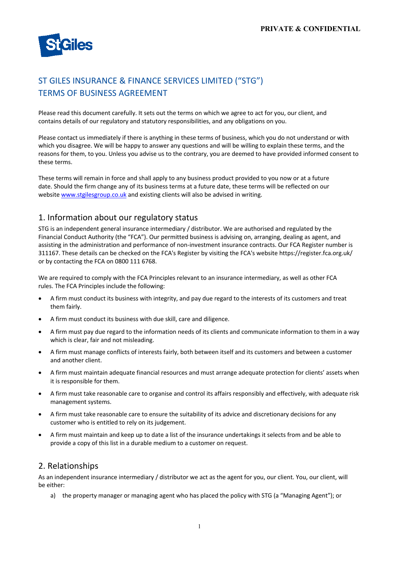

# ST GILES INSURANCE & FINANCE SERVICES LIMITED ("STG") TERMS OF BUSINESS AGREEMENT

Please read this document carefully. It sets out the terms on which we agree to act for you, our client, and contains details of our regulatory and statutory responsibilities, and any obligations on you.

Please contact us immediately if there is anything in these terms of business, which you do not understand or with which you disagree. We will be happy to answer any questions and will be willing to explain these terms, and the reasons for them, to you. Unless you advise us to the contrary, you are deemed to have provided informed consent to these terms.

These terms will remain in force and shall apply to any business product provided to you now or at a future date. Should the firm change any of its business terms at a future date, these terms will be reflected on our website www.stgilesgroup.co.uk and existing clients will also be advised in writing.

#### 1. Information about our regulatory status

STG is an independent general insurance intermediary / distributor. We are authorised and regulated by the Financial Conduct Authority (the "FCA"). Our permitted business is advising on, arranging, dealing as agent, and assisting in the administration and performance of non-investment insurance contracts. Our FCA Register number is 311167. These details can be checked on the FCA's Register by visiting the FCA's website https://register.fca.org.uk/ or by contacting the FCA on 0800 111 6768.

We are required to comply with the FCA Principles relevant to an insurance intermediary, as well as other FCA rules. The FCA Principles include the following:

- A firm must conduct its business with integrity, and pay due regard to the interests of its customers and treat them fairly.
- A firm must conduct its business with due skill, care and diligence.
- A firm must pay due regard to the information needs of its clients and communicate information to them in a way which is clear, fair and not misleading.
- A firm must manage conflicts of interests fairly, both between itself and its customers and between a customer and another client.
- A firm must maintain adequate financial resources and must arrange adequate protection for clients' assets when it is responsible for them.
- A firm must take reasonable care to organise and control its affairs responsibly and effectively, with adequate risk management systems.
- A firm must take reasonable care to ensure the suitability of its advice and discretionary decisions for any customer who is entitled to rely on its judgement.
- A firm must maintain and keep up to date a list of the insurance undertakings it selects from and be able to provide a copy of this list in a durable medium to a customer on request.

#### 2. Relationships

As an independent insurance intermediary / distributor we act as the agent for you, our client. You, our client, will be either:

a) the property manager or managing agent who has placed the policy with STG (a "Managing Agent"); or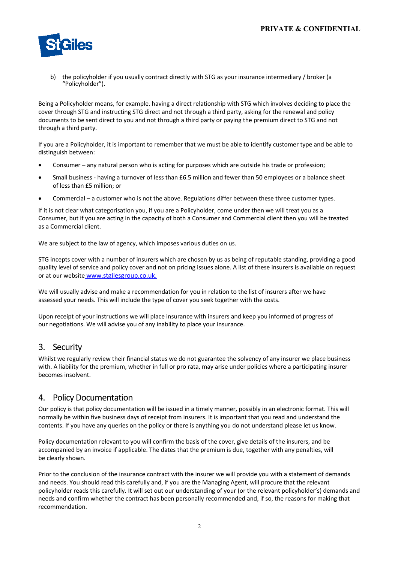

b) the policyholder if you usually contract directly with STG as your insurance intermediary / broker (a "Policyholder").

Being a Policyholder means, for example. having a direct relationship with STG which involves deciding to place the cover through STG and instructing STG direct and not through a third party, asking for the renewal and policy documents to be sent direct to you and not through a third party or paying the premium direct to STG and not through a third party.

If you are a Policyholder, it is important to remember that we must be able to identify customer type and be able to distinguish between:

- Consumer any natural person who is acting for purposes which are outside his trade or profession;
- Small business having a turnover of less than £6.5 million and fewer than 50 employees or a balance sheet of less than £5 million; or
- Commercial a customer who is not the above. Regulations differ between these three customer types.

If it is not clear what categorisation you, if you are a Policyholder, come under then we will treat you as a Consumer, but if you are acting in the capacity of both a Consumer and Commercial client then you will be treated as a Commercial client.

We are subject to the law of agency, which imposes various duties on us.

STG incepts cover with a number of insurers which are chosen by us as being of reputable standing, providing a good quality level of service and policy cover and not on pricing issues alone. A list of these insurers is available on request or at our website www.stgilesgroup.co.uk.

We will usually advise and make a recommendation for you in relation to the list of insurers after we have assessed your needs. This will include the type of cover you seek together with the costs.

Upon receipt of your instructions we will place insurance with insurers and keep you informed of progress of our negotiations. We will advise you of any inability to place your insurance.

### 3. Security

Whilst we regularly review their financial status we do not guarantee the solvency of any insurer we place business with. A liability for the premium, whether in full or pro rata, may arise under policies where a participating insurer becomes insolvent.

### 4. Policy Documentation

Our policy is that policy documentation will be issued in a timely manner, possibly in an electronic format. This will normally be within five business days of receipt from insurers. It is important that you read and understand the contents. If you have any queries on the policy or there is anything you do not understand please let us know.

Policy documentation relevant to you will confirm the basis of the cover, give details of the insurers, and be accompanied by an invoice if applicable. The dates that the premium is due, together with any penalties, will be clearly shown.

Prior to the conclusion of the insurance contract with the insurer we will provide you with a statement of demands and needs. You should read this carefully and, if you are the Managing Agent, will procure that the relevant policyholder reads this carefully. It will set out our understanding of your (or the relevant policyholder's) demands and needs and confirm whether the contract has been personally recommended and, if so, the reasons for making that recommendation.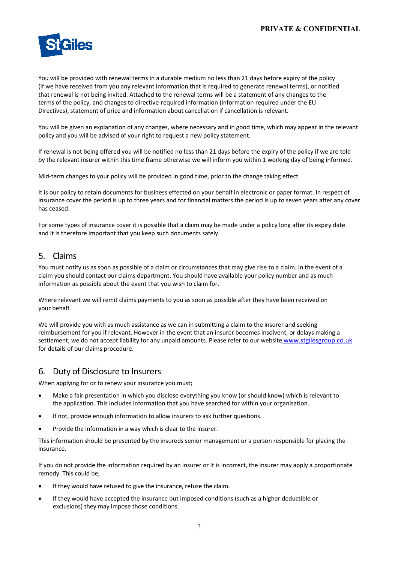

You will be provided with renewal terms in a durable medium no less than 21 days before expiry of the policy (if we have received from you any relevant information that is required to generate renewal terms), or notified that renewal is not being invited. Attached to the renewal terms will be a statement of any changes to the terms of the policy, and changes to directive-required information (information required under the EU Directives), statement of price and information about cancellation if cancellation is relevant.

You will be given an explanation of any changes, where necessary and in good time, which may appear in the relevant policy and you will be advised of your right to request a new policy statement.

If renewal is not being offered you will be notified no less than 21 days before the expiry of the policy if we are told by the relevant insurer within this time frame otherwise we will inform you within 1 working day of being informed.

Mid-term changes to your policy will be provided in good time, prior to the change taking effect.

It is our policy to retain documents for business effected on your behalf in electronic or paper format. In respect of insurance cover the period is up to three years and for financial matters the period is up to seven years after any cover has ceased.

For some types of insurance cover it is possible that a claim may be made under a policy long after its expiry date and it is therefore important that you keep such documents safely.

### 5. Claims

You must notify us as soon as possible of a claim or circumstances that may give rise to a claim. In the event of a claim you should contact our claims department. You should have available your policy number and as much information as possible about the event that you wish to claim for.

Where relevant we will remit claims payments to you as soon as possible after they have been received on your behalf.

We will provide you with as much assistance as we can in submitting a claim to the insurer and seeking reimbursement for you if relevant. However in the event that an insurer becomes insolvent, or delays making a settlement, we do not accept liability for any unpaid amounts. Please refer to our website www.stgilesgroup.co.uk for details of our claims procedure.

### 6. Duty of Disclosure to Insurers

When applying for or to renew your insurance you must;

- Make a fair presentation in which you disclose everything you know (or should know) which is relevant to the application. This includes information that you have searched for within your organisation.
- If not, provide enough information to allow insurers to ask further questions.
- Provide the information in a way which is clear to the insurer.

This information should be presented by the insureds senior management or a person responsible for placing the insurance.

If you do not provide the information required by an insurer or it is incorrect, the insurer may apply a proportionate remedy. This could be;

- If they would have refused to give the insurance, refuse the claim.
- If they would have accepted the insurance but imposed conditions (such as a higher deductible or exclusions) they may impose those conditions.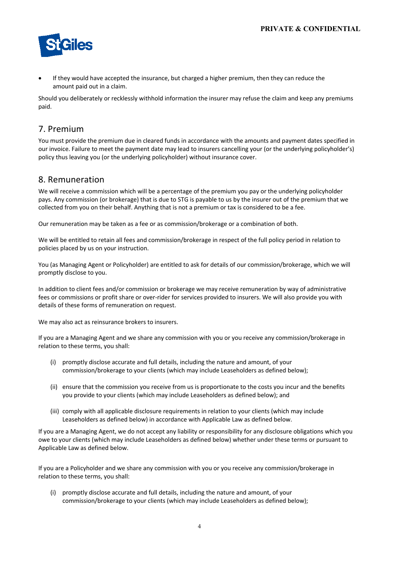

If they would have accepted the insurance, but charged a higher premium, then they can reduce the amount paid out in a claim.

Should you deliberately or recklessly withhold information the insurer may refuse the claim and keep any premiums paid.

### 7. Premium

You must provide the premium due in cleared funds in accordance with the amounts and payment dates specified in our invoice. Failure to meet the payment date may lead to insurers cancelling your (or the underlying policyholder's) policy thus leaving you (or the underlying policyholder) without insurance cover.

### 8. Remuneration

We will receive a commission which will be a percentage of the premium you pay or the underlying policyholder pays. Any commission (or brokerage) that is due to STG is payable to us by the insurer out of the premium that we collected from you on their behalf. Anything that is not a premium or tax is considered to be a fee.

Our remuneration may be taken as a fee or as commission/brokerage or a combination of both.

We will be entitled to retain all fees and commission/brokerage in respect of the full policy period in relation to policies placed by us on your instruction.

You (as Managing Agent or Policyholder) are entitled to ask for details of our commission/brokerage, which we will promptly disclose to you.

In addition to client fees and/or commission or brokerage we may receive remuneration by way of administrative fees or commissions or profit share or over-rider for services provided to insurers. We will also provide you with details of these forms of remuneration on request.

We may also act as reinsurance brokers to insurers.

If you are a Managing Agent and we share any commission with you or you receive any commission/brokerage in relation to these terms, you shall:

- (i) promptly disclose accurate and full details, including the nature and amount, of your commission/brokerage to your clients (which may include Leaseholders as defined below);
- (ii) ensure that the commission you receive from us is proportionate to the costs you incur and the benefits you provide to your clients (which may include Leaseholders as defined below); and
- (iii) comply with all applicable disclosure requirements in relation to your clients (which may include Leaseholders as defined below) in accordance with Applicable Law as defined below.

If you are a Managing Agent, we do not accept any liability or responsibility for any disclosure obligations which you owe to your clients (which may include Leaseholders as defined below) whether under these terms or pursuant to Applicable Law as defined below.

If you are a Policyholder and we share any commission with you or you receive any commission/brokerage in relation to these terms, you shall:

(i) promptly disclose accurate and full details, including the nature and amount, of your commission/brokerage to your clients (which may include Leaseholders as defined below);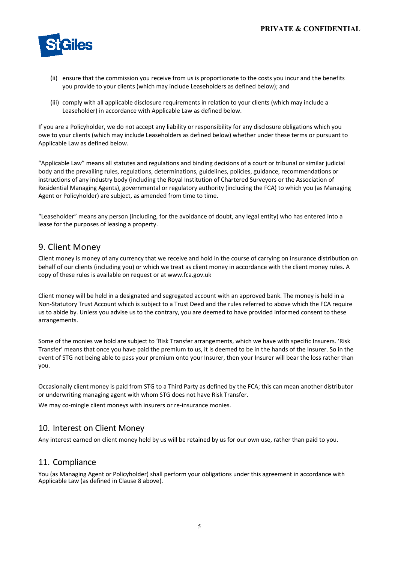

- (ii) ensure that the commission you receive from us is proportionate to the costs you incur and the benefits you provide to your clients (which may include Leaseholders as defined below); and
- (iii) comply with all applicable disclosure requirements in relation to your clients (which may include a Leaseholder) in accordance with Applicable Law as defined below.

If you are a Policyholder, we do not accept any liability or responsibility for any disclosure obligations which you owe to your clients (which may include Leaseholders as defined below) whether under these terms or pursuant to Applicable Law as defined below.

"Applicable Law" means all statutes and regulations and binding decisions of a court or tribunal or similar judicial body and the prevailing rules, regulations, determinations, guidelines, policies, guidance, recommendations or instructions of any industry body (including the Royal Institution of Chartered Surveyors or the Association of Residential Managing Agents), governmental or regulatory authority (including the FCA) to which you (as Managing Agent or Policyholder) are subject, as amended from time to time.

"Leaseholder" means any person (including, for the avoidance of doubt, any legal entity) who has entered into a lease for the purposes of leasing a property.

#### 9. Client Money

Client money is money of any currency that we receive and hold in the course of carrying on insurance distribution on behalf of our clients (including you) or which we treat as client money in accordance with the client money rules. A copy of these rules is available on request or at www.fca.gov.uk

Client money will be held in a designated and segregated account with an approved bank. The money is held in a Non-Statutory Trust Account which is subject to a Trust Deed and the rules referred to above which the FCA require us to abide by. Unless you advise us to the contrary, you are deemed to have provided informed consent to these arrangements.

Some of the monies we hold are subject to 'Risk Transfer arrangements, which we have with specific Insurers. 'Risk Transfer' means that once you have paid the premium to us, it is deemed to be in the hands of the Insurer. So in the event of STG not being able to pass your premium onto your Insurer, then your Insurer will bear the loss rather than you.

Occasionally client money is paid from STG to a Third Party as defined by the FCA; this can mean another distributor or underwriting managing agent with whom STG does not have Risk Transfer.

We may co-mingle client moneys with insurers or re-insurance monies.

#### 10. Interest on Client Money

Any interest earned on client money held by us will be retained by us for our own use, rather than paid to you.

#### 11. Compliance

You (as Managing Agent or Policyholder) shall perform your obligations under this agreement in accordance with Applicable Law (as defined in Clause 8 above).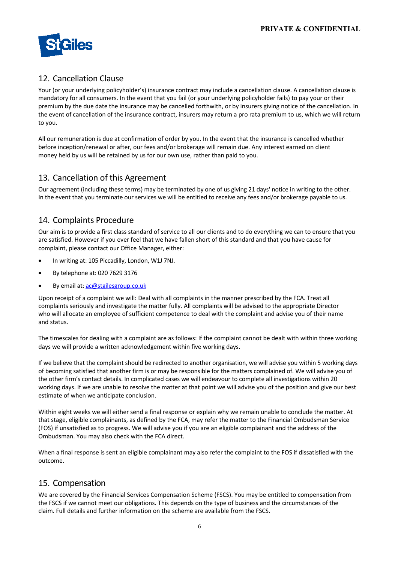

## 12. Cancellation Clause

Your (or your underlying policyholder's) insurance contract may include a cancellation clause. A cancellation clause is mandatory for all consumers. In the event that you fail (or your underlying policyholder fails) to pay your or their premium by the due date the insurance may be cancelled forthwith, or by insurers giving notice of the cancellation. In the event of cancellation of the insurance contract, insurers may return a pro rata premium to us, which we will return to you.

All our remuneration is due at confirmation of order by you. In the event that the insurance is cancelled whether before inception/renewal or after, our fees and/or brokerage will remain due. Any interest earned on client money held by us will be retained by us for our own use, rather than paid to you.

### 13. Cancellation of this Agreement

Our agreement (including these terms) may be terminated by one of us giving 21 days' notice in writing to the other. In the event that you terminate our services we will be entitled to receive any fees and/or brokerage payable to us.

#### 14. Complaints Procedure

Our aim is to provide a first class standard of service to all our clients and to do everything we can to ensure that you are satisfied. However if you ever feel that we have fallen short of this standard and that you have cause for complaint, please contact our Office Manager, either:

- In writing at: 105 Piccadilly, London, W1J 7NJ.
- By telephone at: 020 7629 3176
- By email at: ac@stgilesgroup.co.uk

Upon receipt of a complaint we will: Deal with all complaints in the manner prescribed by the FCA. Treat all complaints seriously and investigate the matter fully. All complaints will be advised to the appropriate Director who will allocate an employee of sufficient competence to deal with the complaint and advise you of their name and status.

The timescales for dealing with a complaint are as follows: If the complaint cannot be dealt with within three working days we will provide a written acknowledgement within five working days.

If we believe that the complaint should be redirected to another organisation, we will advise you within 5 working days of becoming satisfied that another firm is or may be responsible for the matters complained of. We will advise you of the other firm's contact details. In complicated cases we will endeavour to complete all investigations within 20 working days. If we are unable to resolve the matter at that point we will advise you of the position and give our best estimate of when we anticipate conclusion.

Within eight weeks we will either send a final response or explain why we remain unable to conclude the matter. At that stage, eligible complainants, as defined by the FCA, may refer the matter to the Financial Ombudsman Service (FOS) if unsatisfied as to progress. We will advise you if you are an eligible complainant and the address of the Ombudsman. You may also check with the FCA direct.

When a final response is sent an eligible complainant may also refer the complaint to the FOS if dissatisfied with the outcome.

### 15. Compensation

We are covered by the Financial Services Compensation Scheme (FSCS). You may be entitled to compensation from the FSCS if we cannot meet our obligations. This depends on the type of business and the circumstances of the claim. Full details and further information on the scheme are available from the FSCS.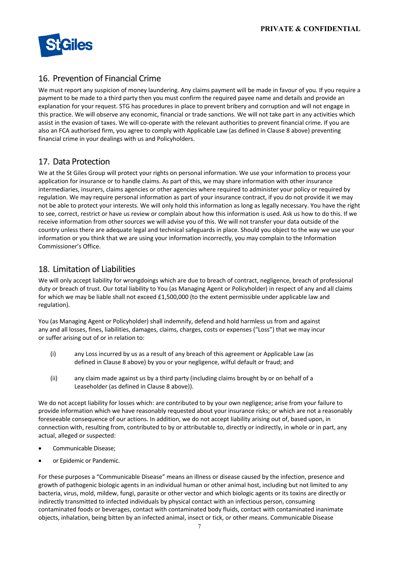

## 16. Prevention of Financial Crime

We must report any suspicion of money laundering. Any claims payment will be made in favour of you. If you require a payment to be made to a third party then you must confirm the required payee name and details and provide an explanation for your request. STG has procedures in place to prevent bribery and corruption and will not engage in this practice. We will observe any economic, financial or trade sanctions. We will not take part in any activities which assist in the evasion of taxes. We will co-operate with the relevant authorities to prevent financial crime. If you are also an FCA authorised firm, you agree to comply with Applicable Law (as defined in Clause 8 above) preventing financial crime in your dealings with us and Policyholders.

#### 17. Data Protection

We at the St Giles Group will protect your rights on personal information. We use your information to process your application for insurance or to handle claims. As part of this, we may share information with other insurance intermediaries, insurers, claims agencies or other agencies where required to administer your policy or required by regulation. We may require personal information as part of your insurance contract, if you do not provide it we may not be able to protect your interests. We will only hold this information as long as legally necessary. You have the right to see, correct, restrict or have us review or complain about how this information is used. Ask us how to do this. If we receive information from other sources we will advise you of this. We will not transfer your data outside of the country unless there are adequate legal and technical safeguards in place. Should you object to the way we use your information or you think that we are using your information incorrectly, you may complain to the Information Commissioner's Office.

#### 18. Limitation of Liabilities

We will only accept liability for wrongdoings which are due to breach of contract, negligence, breach of professional duty or breach of trust. Our total liability to You (as Managing Agent or Policyholder) in respect of any and all claims for which we may be liable shall not exceed £1,500,000 (to the extent permissible under applicable law and regulation).

You (as Managing Agent or Policyholder) shall indemnify, defend and hold harmless us from and against any and all losses, fines, liabilities, damages, claims, charges, costs or expenses ("Loss") that we may incur or suffer arising out of or in relation to:

- (i) any Loss incurred by us as a result of any breach of this agreement or Applicable Law (as defined in Clause 8 above) by you or your negligence, wilful default or fraud; and
- (ii) any claim made against us by a third party (including claims brought by or on behalf of a Leaseholder (as defined in Clause 8 above)).

We do not accept liability for losses which: are contributed to by your own negligence; arise from your failure to provide information which we have reasonably requested about your insurance risks; or which are not a reasonably foreseeable consequence of our actions. In addition, we do not accept liability arising out of, based upon, in connection with, resulting from, contributed to by or attributable to, directly or indirectly, in whole or in part, any actual, alleged or suspected:

- Communicable Disease;
- or Epidemic or Pandemic.

For these purposes a "Communicable Disease" means an illness or disease caused by the infection, presence and growth of pathogenic biologic agents in an individual human or other animal host, including but not limited to any bacteria, virus, mold, mildew, fungi, parasite or other vector and which biologic agents or its toxins are directly or indirectly transmitted to infected individuals by physical contact with an infectious person, consuming contaminated foods or beverages, contact with contaminated body fluids, contact with contaminated inanimate objects, inhalation, being bitten by an infected animal, insect or tick, or other means. Communicable Disease